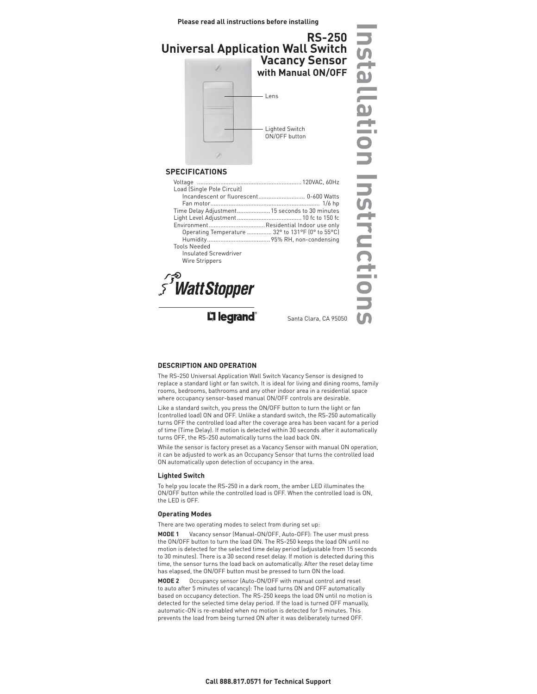### **Please read all instructions before installing**



# **SPECIFICATIONS**

| Load (Single Pole Circuit)                     |                                                  |
|------------------------------------------------|--------------------------------------------------|
|                                                | Incandescent or fluorescent 0-600 Watts          |
|                                                |                                                  |
| Time Delay Adjustment 15 seconds to 30 minutes |                                                  |
|                                                |                                                  |
| Environment Residential Indoor use only        |                                                  |
|                                                | Operating Temperature  32° to 131°F (0° to 55°C) |
|                                                |                                                  |
|                                                |                                                  |
| <b>Tools Needed</b>                            |                                                  |
| Insulated Screwdriver                          |                                                  |
| Wire Strippers                                 |                                                  |

*s*<sup>S</sup> Watt Stopper

**Li legrand** 

Santa Clara, CA 95050

# **DESCRIPTION AND OPERATION**

The RS-250 Universal Application Wall Switch Vacancy Sensor is designed to replace a standard light or fan switch. It is ideal for living and dining rooms, family rooms, bedrooms, bathrooms and any other indoor area in a residential space where occupancy sensor-based manual ON/OFF controls are desirable.

Like a standard switch, you press the ON/OFF button to turn the light or fan (controlled load) ON and OFF. Unlike a standard switch, the RS-250 automatically turns OFF the controlled load after the coverage area has been vacant for a period of time (Time Delay). If motion is detected within 30 seconds after it automatically turns OFF, the RS-250 automatically turns the load back ON.

While the sensor is factory preset as a Vacancy Sensor with manual ON operation, it can be adjusted to work as an Occupancy Sensor that turns the controlled load ON automatically upon detection of occupancy in the area.

### **Lighted Switch**

To help you locate the RS-250 in a dark room, the amber LED illuminates the ON/OFF button while the controlled load is OFF. When the controlled load is ON, the LED is OFF.

### **Operating Modes**

There are two operating modes to select from during set up:

**MODE 1** Vacancy sensor (Manual-ON/OFF, Auto-OFF): The user must press the ON/OFF button to turn the load ON. The RS-250 keeps the load ON until no motion is detected for the selected time delay period (adjustable from 15 seconds to 30 minutes). There is a 30 second reset delay. If motion is detected during this time, the sensor turns the load back on automatically. After the reset delay time has elapsed, the ON/OFF button must be pressed to turn ON the load.

**MODE 2** Occupancy sensor (Auto-ON/OFF with manual control and reset to auto after 5 minutes of vacancy): The load turns ON and OFF automatically based on occupancy detection. The RS-250 keeps the load ON until no motion is detected for the selected time delay period. If the load is turned OFF manually, automatic-ON is re-enabled when no motion is detected for 5 minutes. This prevents the load from being turned ON after it was deliberately turned OFF.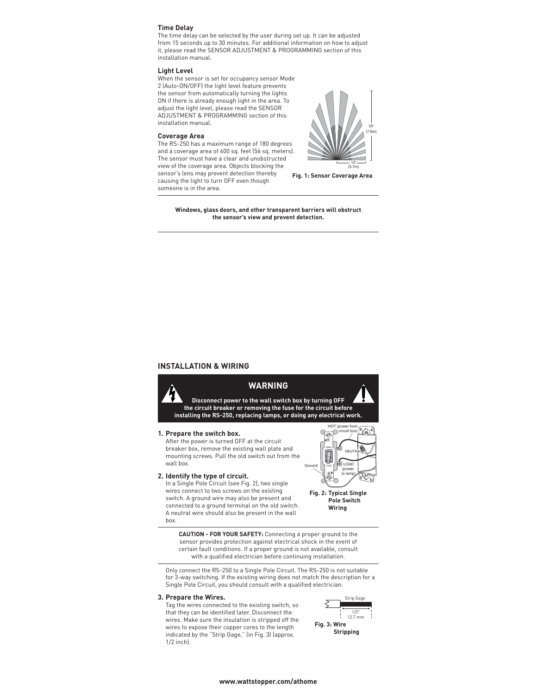# **Time Delay**

The time delay can be selected by the user during set up. It can be adjusted from 15 seconds up to 30 minutes. For additional information on how to adjust it, please read the SENSOR ADJUSTMENT & PROGRAMMING section of this installation manual.

#### **Light Level**

When the sensor is set for occupancy sensor Mode 2 (Auto-ON/OFF) the light level feature prevents the sensor from automatically turning the lights ON if there is already enough light in the area. To adjust the light level, please read the SENSOR ADJUSTMENT & PROGRAMMING section of this installation manual.

#### **Coverage Area**

The RS-250 has a maximum range of 180 degrees and a coverage area of 600 sq. feet (56 sq. meters). The sensor must have a clear and unobstructed view of the coverage area. Objects blocking the sensor's lens may prevent detection thereby causing the light to turn OFF even though someone is in the area.



**Fig. 1: Sensor Coverage Area**

**Windows, glass doors, and other transparent barriers will obstruct the sensor's view and prevent detection.**

# **INSTALLATION & WIRING**



#### **3. Prepare the Wires.**

 Tag the wires connected to the existing switch, so that they can be identified later. Disconnect the wires. Make sure the insulation is stripped off the wires to expose their copper cores to the length indicated by the "Strip Gage," (in Fig. 3) (approx. 1/2 inch).

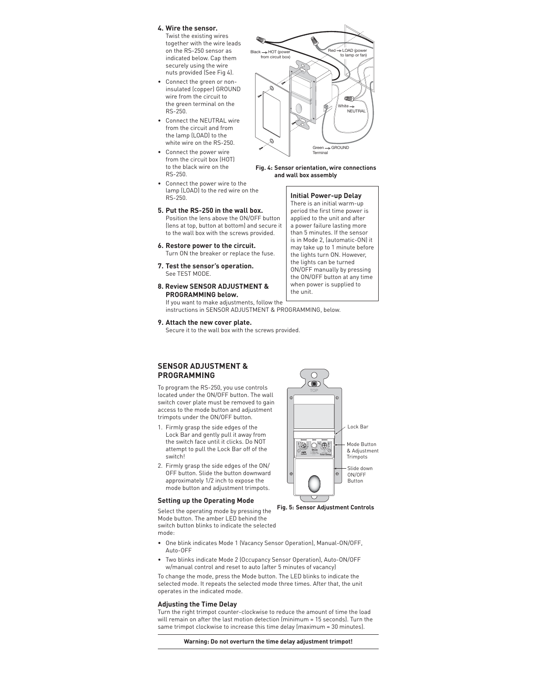# **4. Wire the sensor.**

- Twist the existing wires together with the wire leads on the RS-250 sensor as indicated below. Cap them securely using the wire nuts provided (See Fig 4).
- Connect the green or noninsulated (copper) GROUND wire from the circuit to the green terminal on the RS-250.
- Connect the NEUTRAL wire from the circuit and from the lamp (LOAD) to the white wire on the RS-250.
- Connect the power wire from the circuit box (HOT) to the black wire on the RS-250.
- Connect the power wire to the lamp (LOAD) to the red wire on the RS-250.
- **5. Put the RS-250 in the wall box.**  Position the lens above the ON/OFF button (lens at top, button at bottom) and secure it to the wall box with the screws provided.
- **6. Restore power to the circuit.**  Turn ON the breaker or replace the fuse.
- **7. Test the sensor's operation.** See TEST MODE.
- **8. Review SENSOR ADJUSTMENT & PROGRAMMING below.** If you want to make adjustments, follow the



#### **Fig. 4: Sensor orientation, wire connections and wall box assembly**

**Initial Power-up Delay** There is an initial warm-up period the first time power is applied to the unit and after a power failure lasting more than 5 minutes. If the sensor is in Mode 2, (automatic-ON) it may take up to 1 minute before the lights turn ON. However, the lights can be turned ON/OFF manually by pressing the ON/OFF button at any time when power is supplied to the unit.

instructions in SENSOR ADJUSTMENT & PROGRAMMING, below.

**9. Attach the new cover plate.** Secure it to the wall box with the screws provided.

# **SENSOR ADJUSTMENT & PROGRAMMING**

To program the RS-250, you use controls located under the ON/OFF button. The wall switch cover plate must be removed to gain access to the mode button and adjustment trimpots under the ON/OFF button.

- 1. Firmly grasp the side edges of the Lock Bar and gently pull it away from the switch face until it clicks. Do NOT attempt to pull the Lock Bar off of the switch!
- 2. Firmly grasp the side edges of the ON/ OFF button. Slide the button downward approximately 1/2 inch to expose the mode button and adjustment trimpots.

#### **Setting up the Operating Mode**

Select the operating mode by pressing the Mode button. The amber LED behind the switch button blinks to indicate the selected mode:

- **Fig. 5: Sensor Adjustment Controls**
- One blink indicates Mode 1 (Vacancy Sensor Operation), Manual-ON/OFF, Auto-OFF
- Two blinks indicate Mode 2 (Occupancy Sensor Operation), Auto-ON/OFF w/manual control and reset to auto (after 5 minutes of vacancy)

To change the mode, press the Mode button. The LED blinks to indicate the selected mode. It repeats the selected mode three times. After that, the unit operates in the indicated mode.

#### **Adjusting the Time Delay**

Turn the right trimpot counter-clockwise to reduce the amount of time the load will remain on after the last motion detection (minimum = 15 seconds). Turn the same trimpot clockwise to increase this time delay (maximum = 30 minutes).

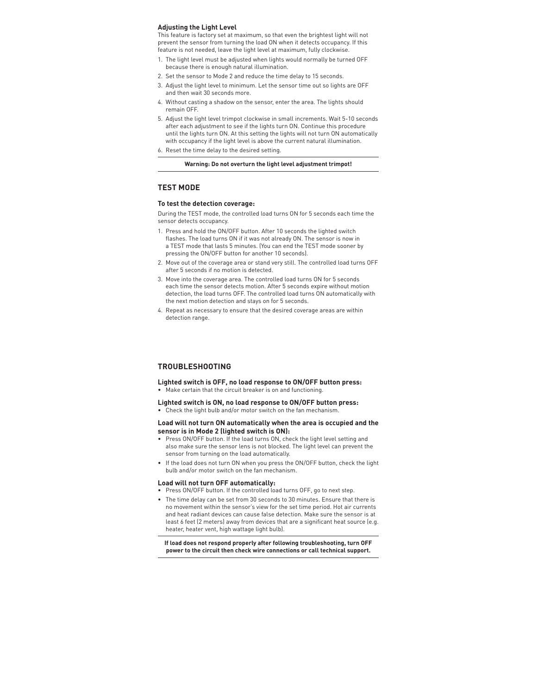## **Adjusting the Light Level**

This feature is factory set at maximum, so that even the brightest light will not prevent the sensor from turning the load ON when it detects occupancy. If this feature is not needed, leave the light level at maximum, fully clockwise.

- 1. The light level must be adjusted when lights would normally be turned OFF because there is enough natural illumination.
- 2. Set the sensor to Mode 2 and reduce the time delay to 15 seconds.
- 3. Adjust the light level to minimum. Let the sensor time out so lights are OFF and then wait 30 seconds more.
- 4. Without casting a shadow on the sensor, enter the area. The lights should remain OFF.
- 5. Adjust the light level trimpot clockwise in small increments. Wait 5-10 seconds after each adjustment to see if the lights turn ON. Continue this procedure until the lights turn ON. At this setting the lights will not turn ON automatically with occupancy if the light level is above the current natural illumination. 6. Reset the time delay to the desired setting.
	- **Warning: Do not overturn the light level adjustment trimpot!**

# **TEST MODE**

# **To test the detection coverage:**

During the TEST mode, the controlled load turns ON for 5 seconds each time the sensor detects occupancy.

- 1. Press and hold the ON/OFF button. After 10 seconds the lighted switch flashes. The load turns ON if it was not already ON. The sensor is now in a TEST mode that lasts 5 minutes. (You can end the TEST mode sooner by pressing the ON/OFF button for another 10 seconds).
- 2. Move out of the coverage area or stand very still. The controlled load turns OFF after 5 seconds if no motion is detected.
- 3. Move into the coverage area. The controlled load turns ON for 5 seconds each time the sensor detects motion. After 5 seconds expire without motion detection, the load turns OFF. The controlled load turns ON automatically with the next motion detection and stays on for 5 seconds.
- 4. Repeat as necessary to ensure that the desired coverage areas are within detection range.

# **TROUBLESHOOTING**

**Lighted switch is OFF, no load response to ON/OFF button press:** • Make certain that the circuit breaker is on and functioning.

- **Lighted switch is ON, no load response to ON/OFF button press:**
- Check the light bulb and/or motor switch on the fan mechanism.

## **Load will not turn ON automatically when the area is occupied and the sensor is in Mode 2 (lighted switch is ON):**

- Press ON/OFF button. If the load turns ON, check the light level setting and also make sure the sensor lens is not blocked. The light level can prevent the sensor from turning on the load automatically.
- If the load does not turn ON when you press the ON/OFF button, check the light bulb and/or motor switch on the fan mechanism.

## **Load will not turn OFF automatically:**

- Press ON/OFF button. If the controlled load turns OFF, go to next step.
- The time delay can be set from 30 seconds to 30 minutes. Ensure that there is no movement within the sensor's view for the set time period. Hot air currents and heat radiant devices can cause false detection. Make sure the sensor is at least 6 feet (2 meters) away from devices that are a significant heat source (e.g. heater, heater vent, high wattage light bulb).

# **If load does not respond properly after following troubleshooting, turn OFF power to the circuit then check wire connections or call technical support.**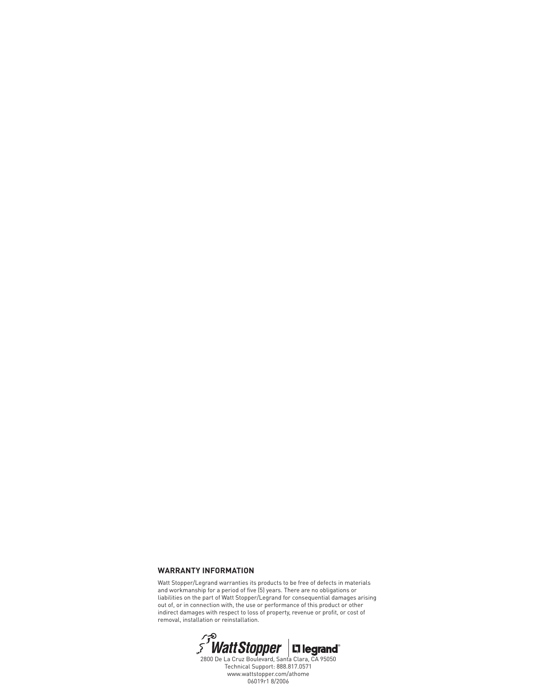# **WARRANTY INFORMATION**

Watt Stopper/Legrand warranties its products to be free of defects in materials and workmanship for a period of five (5) years. There are no obligations or liabilities on the part of Watt Stopper/Legrand for consequential damages arising out of, or in connection with, the use or performance of this product or other indirect damages with respect to loss of property, revenue or profit, or cost of



Technical Support: 888.817.0571 www.wattstopper.com/athome 06019r1 8/2006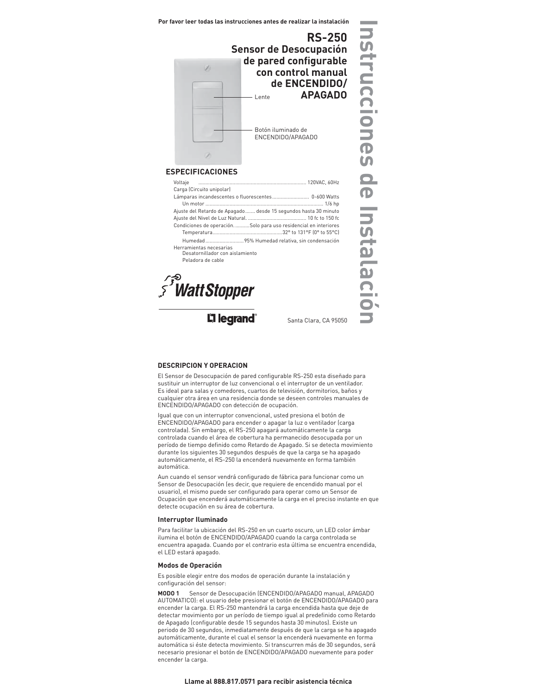**Por favor leer todas las instrucciones antes de realizar la instalación**



## **ESPECIFICACIONES**

| Carga (Circuito unipolar)                                        |  |
|------------------------------------------------------------------|--|
| Lámparas incandescentes o fluorescentes 0-600 Watts              |  |
|                                                                  |  |
| Ajuste del Retardo de Apagado  desde 15 segundos hasta 30 minuto |  |
|                                                                  |  |
| Condiciones de operaciónSolo para uso residencial en interiores  |  |
|                                                                  |  |
| Humedad95% Humedad relativa, sin condensación                    |  |
| Herramientas necesarias<br>Desatornillador con aislamiento       |  |
| Peladora de cable                                                |  |

**SWattStopper** 

L'I legrand®

Santa Clara, CA 95050

**Instrucciones de Instalación**

 $\frac{D}{D}$ 

Instalació

# **DESCRIPCION Y OPERACION**

El Sensor de Desocupación de pared configurable RS-250 esta diseñado para sustituir un interruptor de luz convencional o el interruptor de un ventilador. Es ideal para salas y comedores, cuartos de televisión, dormitorios, baños y cualquier otra área en una residencia donde se deseen controles manuales de ENCENDIDO/APAGADO con detección de ocupación.

Igual que con un interruptor convencional, usted presiona el botón de ENCENDIDO/APAGADO para encender o apagar la luz o ventilador (carga controlada). Sin embargo, el RS-250 apagará automáticamente la carga controlada cuando el área de cobertura ha permanecido desocupada por un período de tiempo definido como Retardo de Apagado. Si se detecta movimiento durante los siguientes 30 segundos después de que la carga se ha apagado automáticamente, el RS-250 la encenderá nuevamente en forma también automática.

Aun cuando el sensor vendrá configurado de fábrica para funcionar como un Sensor de Desocupación (es decir, que requiere de encendido manual por el usuario), el mismo puede ser configurado para operar como un Sensor de Ocupación que encenderá automáticamente la carga en el preciso instante en que detecte ocupación en su área de cobertura.

## **Interruptor Iluminado**

Para facilitar la ubicación del RS-250 en un cuarto oscuro, un LED color ámbar ilumina el botón de ENCENDIDO/APAGADO cuando la carga controlada se encuentra apagada. Cuando por el contrario esta última se encuentra encendida, el LED estará apagado.

#### **Modos de Operación**

Es posible elegir entre dos modos de operación durante la instalación y configuración del sensor:

**MODO 1** Sensor de Desocupación (ENCENDIDO/APAGADO manual, APAGADO AUTOMATICO): el usuario debe presionar el botón de ENCENDIDO/APAGADO para encender la carga. El RS-250 mantendrá la carga encendida hasta que deje de detectar movimiento por un período de tiempo igual al predefinido como Retardo de Apagado (configurable desde 15 segundos hasta 30 minutos). Existe un periodo de 30 segundos, inmediatamente después de que la carga se ha apagado automáticamente, durante el cual el sensor la encenderá nuevamente en forma automática si éste detecta movimiento. Si transcurren más de 30 segundos, será necesario presionar el botón de ENCENDIDO/APAGADO nuevamente para poder encender la carga.

#### **Llame al 888.817.0571 para recibir asistencia técnica**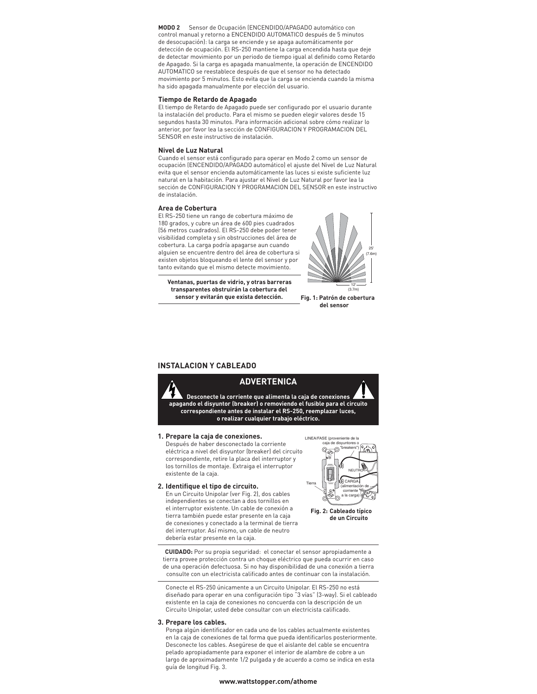**MODO 2** Sensor de Ocupación (ENCENDIDO/APAGADO automático con control manual y retorno a ENCENDIDO AUTOMATICO después de 5 minutos de desocupación): la carga se enciende y se apaga automáticamente por detección de ocupación. El RS-250 mantiene la carga encendida hasta que deje de detectar movimiento por un periodo de tiempo igual al definido como Retardo de Apagado. Si la carga es apagada manualmente, la operación de ENCENDIDO AUTOMATICO se reestablece después de que el sensor no ha detectado movimiento por 5 minutos. Esto evita que la carga se encienda cuando la misma ha sido apagada manualmente por elección del usuario.

### **Tiempo de Retardo de Apagado**

El tiempo de Retardo de Apagado puede ser configurado por el usuario durante la instalación del producto. Para el mismo se pueden elegir valores desde 15 segundos hasta 30 minutos. Para información adicional sobre cómo realizar lo anterior, por favor lea la sección de CONFIGURACION Y PROGRAMACION DEL SENSOR en este instructivo de instalación.

#### **Nivel de Luz Natural**

Cuando el sensor está configurado para operar en Modo 2 como un sensor de ocupación (ENCENDIDO/APAGADO automático) el ajuste del Nivel de Luz Natural evita que el sensor encienda automáticamente las luces si existe suficiente luz natural en la habitación. Para ajustar el Nivel de Luz Natural por favor lea la sección de CONFIGURACION Y PROGRAMACION DEL SENSOR en este instructivo de instalación.

#### **Area de Cobertura**

El RS-250 tiene un rango de cobertura máximo de 180 grados, y cubre un área de 600 pies cuadrados (56 metros cuadrados). El RS-250 debe poder tener visibilidad completa y sin obstrucciones del área de cobertura. La carga podría apagarse aun cuando alguien se encuentre dentro del área de cobertura si existen objetos bloqueando el lente del sensor y por tanto evitando que el mismo detecte movimiento.

**Ventanas, puertas de vidrio, y otras barreras transparentes obstruirán la cobertura del sensor y evitarán que exista detección.**



**Fig. 1: Patrón de cobertura del sensor**

# **INSTALACION Y CABLEADO**



## **1. Prepare la caja de conexiones.**

 Después de haber desconectado la corriente eléctrica a nivel del disyuntor (breaker) del circuito correspondiente, retire la placa del interruptor y los tornillos de montaje. Extraiga el interruptor existente de la caja.



 En un Circuito Unipolar (ver Fig. 2), dos cables independientes se conectan a dos tornillos en el interruptor existente. Un cable de conexión a tierra también puede estar presente en la caja de conexiones y conectado a la terminal de tierra del interruptor. Así mismo, un cable de neutro debería estar presente en la caja.



**Fig. 2: Cableado típico de un Circuito**

**CUIDADO:** Por su propia seguridad: el conectar el sensor apropiadamente a tierra provee protección contra un choque eléctrico que pueda ocurrir en caso de una operación defectuosa. Si no hay disponibilidad de una conexión a tierra consulte con un electricista calificado antes de continuar con la instalación.

 Conecte el RS-250 únicamente a un Circuito Unipolar. El RS-250 no está diseñado para operar en una configuración tipo "3 vías" (3-way). Si el cableado existente en la caja de conexiones no concuerda con la descripción de un Circuito Unipolar, usted debe consultar con un electricista calificado.

#### **3. Prepare los cables.**

Ponga algún identificador en cada uno de los cables actualmente existentes en la caja de conexiones de tal forma que pueda identificarlos posteriormente. Desconecte los cables. Asegúrese de que el aislante del cable se encuentra pelado apropiadamente para exponer el interior de alambre de cobre a un largo de aproximadamente 1/2 pulgada y de acuerdo a como se indica en esta guía de longitud Fig. 3.

#### **www.wattstopper.com/athome**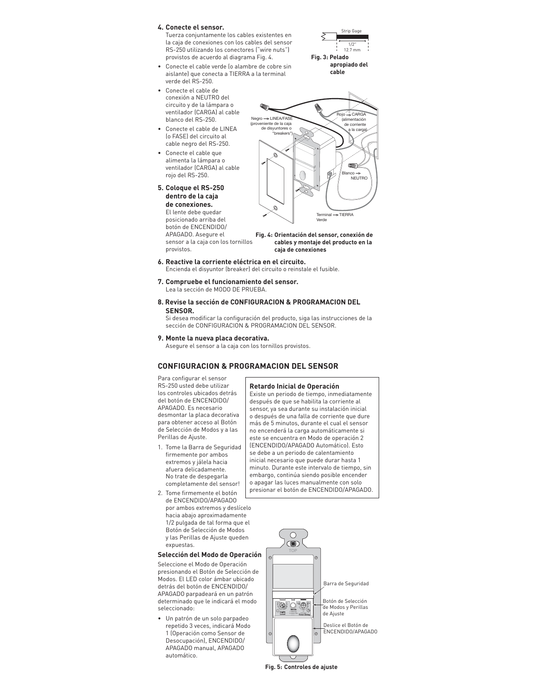## **4. Conecte el sensor.**

 Tuerza conjuntamente los cables existentes en la caja de conexiones con los cables del sensor RS-250 utilizando los conectores ("wire nuts") provistos de acuerdo al diagrama Fig. 4.

- Conecte el cable verde (o alambre de cobre sin aislante) que conecta a TIERRA a la terminal verde del RS-250.
- Conecte el cable de conexión a NEUTRO del circuito y de la lámpara o ventilador (CARGA) al cable blanco del RS-250.
- Conecte el cable de LINEA (o FASE) del circuito al cable negro del RS-250.
- Conecte el cable que alimenta la lámpara o ventilador (CARGA) al cable rojo del RS-250.
- **5. Coloque el RS-250 dentro de la caja de conexiones.** El lente debe quedar

provistos.

posicionado arriba del botón de ENCENDIDO/ APAGADO. Asegure el sensor a la caja con los tornillos



Strip Gage 1/2" 12.7 mm

**apropiado del cable**

Terminal **–>** TIERRA

**Fig. 3: Pelado** 

### **Fig. 4: Orientación del sensor, conexión de cables y montaje del producto en la caja de conexiones**

Verde

- **6. Reactive la corriente eléctrica en el circuito.** 
	- Encienda el disyuntor (breaker) del circuito o reinstale el fusible.
- **7. Compruebe el funcionamiento del sensor.** Lea la sección de MODO DE PRUEBA.
- **8. Revise la sección de CONFIGURACION & PROGRAMACION DEL SENSOR.**

Si desea modificar la configuración del producto, siga las instrucciones de la sección de CONFIGURACION & PROGRAMACION DEL SENSOR.

**9. Monte la nueva placa decorativa.**

Asegure el sensor a la caja con los tornillos provistos.

# **CONFIGURACION & PROGRAMACION DEL SENSOR**

Para configurar el sensor RS-250 usted debe utilizar los controles ubicados detrás del botón de ENCENDIDO/ APAGADO. Es necesario desmontar la placa decorativa para obtener acceso al Botón de Selección de Modos y a las Perillas de Ajuste.

- 1. Tome la Barra de Seguridad firmemente por ambos extremos y jálela hacia afuera delicadamente. No trate de despegarla completamente del sensor!
- 2. Tome firmemente el botón de ENCENDIDO/APAGADO por ambos extremos y deslícelo hacia abajo aproximadamente 1/2 pulgada de tal forma que el Botón de Selección de Modos y las Perillas de Ajuste queden expuestas.

# **Selección del Modo de Operación**

Seleccione el Modo de Operación presionando el Botón de Selección de Modos. El LED color ámbar ubicado detrás del botón de ENCENDIDO/ APAGADO parpadeará en un patrón determinado que le indicará el modo seleccionado:

• Un patrón de un solo parpadeo repetido 3 veces, indicará Modo 1 (Operación como Sensor de Desocupación), ENCENDIDO/ APAGADO manual, APAGADO automático.



Existe un periodo de tiempo, inmediatamente después de que se habilita la corriente al sensor, ya sea durante su instalación inicial o después de una falla de corriente que dure más de 5 minutos, durante el cual el sensor no encenderá la carga automáticamente si este se encuentra en Modo de operación 2 (ENCENDIDO/APAGADO Automático). Esto se debe a un periodo de calentamiento inicial necesario que puede durar hasta 1 minuto. Durante este intervalo de tiempo, sin embargo, continúa siendo posible encender o apagar las luces manualmente con solo presionar el botón de ENCENDIDO/APAGADO.



**Fig. 5: Controles de ajuste**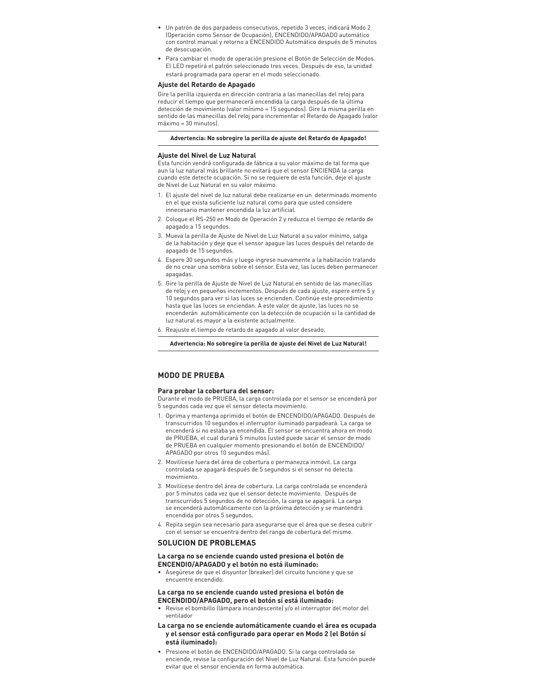- Un patrón de dos parpadeos consecutivos, repetido 3 veces, indicará Modo 2 (Operación como Sensor de Ocupación), ENCENDIDO/APAGADO automático con control manual y retorno a ENCENDIDO Automático después de 5 minutos de desocupación.
- Para cambiar el modo de operación presione el Botón de Selección de Modos. El LED repetirá el patrón seleccionado tres veces. Después de eso, la unidad estará programada para operar en el modo seleccionado.

#### **Ajuste del Retardo de Apagado**

Gire la perilla izquierda en dirección contraria a las manecillas del reloj para reducir el tiempo que permanecerá encendida la carga después de la última detección de movimiento (valor mínimo = 15 segundos). Gire la misma perilla en sentido de las manecillas del reloj para incrementar el Retardo de Apagado (valor máximo = 30 minutos).

## **Advertencia: No sobregire la perilla de ajuste del Retardo de Apagado!**

#### **Ajuste del Nivel de Luz Natural**

Esta función vendrá configurada de fábrica a su valor máximo de tal forma que aun la luz natural más brillante no evitará que el sensor ENCIENDA la carga cuando este detecte ocupación. Si no se requiere de esta función, deje el ajuste de Nivel de Luz Natural en su valor máximo.

- 1. El ajuste del nivel de luz natural debe realizarse en un determinado momento en el que exista suficiente luz natural como para que usted considere innecesario mantener encendida la luz artificial.
- 2. Coloque el RS-250 en Modo de Operación 2 y reduzca el tiempo de retardo de apagado a 15 segundos.
- 3. Mueva la perilla de Ajuste de Nivel de Luz Natural a su valor mínimo, salga de la habitación y deje que el sensor apague las luces después del retardo de apagado de 15 segundos.
- 4. Espere 30 segundos más y luego ingrese nuevamente a la habitación tratando de no crear una sombra sobre el sensor. Esta vez, las luces deben permanecer apagadas.
- 5. Gire la perilla de Ajuste de Nivel de Luz Natural en sentido de las manecillas de reloj y en pequeños incrementos. Después de cada ajuste, espere entre 5 y 10 segundos para ver si las luces se encienden. Continúe este procedimiento hasta que las luces se enciendan. A este valor de ajuste, las luces no se encenderán automáticamente con la detección de ocupación si la cantidad de luz natural es mayor a la existente actualmente.
- 6. Reajuste el tiempo de retardo de apagado al valor deseado.

#### **Advertencia: No sobregire la perilla de ajuste del Nivel de Luz Natural!**

# **MODO DE PRUEBA**

### **Para probar la cobertura del sensor:**

Durante el modo de PRUEBA, la carga controlada por el sensor se encenderá por 5 segundos cada vez que el sensor detecta movimiento.

- 1. Oprima y mantenga oprimido el botón de ENCENDIDO/APAGADO. Después de transcurridos 10 segundos el interruptor iluminado parpadeará. La carga se encenderá si no estaba ya encendida. El sensor se encuentra ahora en modo de PRUEBA, el cual durará 5 minutos (usted puede sacar el sensor de modo de PRUEBA en cualquier momento presionando el botón de ENCENDIDO/ APAGADO por otros 10 segundos más).
- 2. Movilícese fuera del área de cobertura o permanezca inmóvil. La carga controlada se apagará después de 5 segundos si el sensor no detecta movimiento.
- 3. Movilícese dentro del área de cobertura. La carga controlada se encenderá por 5 minutos cada vez que el sensor detecte movimiento. Después de transcurridos 5 segundos de no detección, la carga se apagará. La carga se encenderá automáticamente con la próxima detección y se mantendrá encendida por otros 5 segundos.
- 4. Repita según sea necesario para asegurarse que el área que se desea cubrir con el sensor se encuentra dentro del rango de cobertura del mismo.

# **SOLUCION DE PROBLEMAS**

### **La carga no se enciende cuando usted presiona el botón de ENCENDIO/APAGADO y el botón no está iluminado:**

• Asegúrese de que el disyuntor (breaker) del circuito funcione y que se encuentre encendido.

## **La carga no se enciende cuando usted presiona el botón de ENCENDIDO/APAGADO, pero el botón sí está iluminado:**

• Revise el bombillo (lámpara incandescente) y/o el interruptor del motor del ventilador

## **La carga no se enciende automáticamente cuando el área es ocupada y el sensor está configurado para operar en Modo 2 (el Botón sí está iluminado):**

• Presione el botón de ENCENDIDO/APAGADO. Si la carga controlada se enciende, revise la configuración del Nivel de Luz Natural. Esta función puede evitar que el sensor encienda en forma automática.